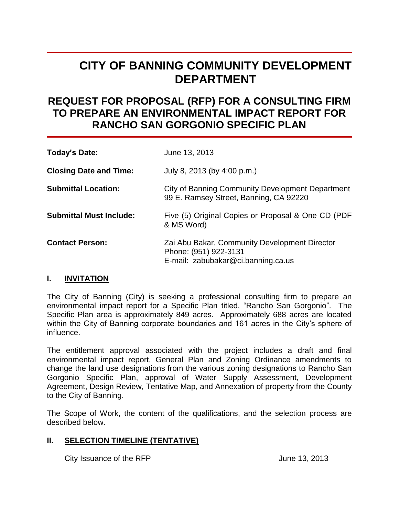# **CITY OF BANNING COMMUNITY DEVELOPMENT DEPARTMENT**

## **REQUEST FOR PROPOSAL (RFP) FOR A CONSULTING FIRM TO PREPARE AN ENVIRONMENTAL IMPACT REPORT FOR RANCHO SAN GORGONIO SPECIFIC PLAN**

| Today's Date:                  | June 13, 2013                                                                                                |
|--------------------------------|--------------------------------------------------------------------------------------------------------------|
| <b>Closing Date and Time:</b>  | July 8, 2013 (by 4:00 p.m.)                                                                                  |
| <b>Submittal Location:</b>     | <b>City of Banning Community Development Department</b><br>99 E. Ramsey Street, Banning, CA 92220            |
| <b>Submittal Must Include:</b> | Five (5) Original Copies or Proposal & One CD (PDF<br>& MS Word)                                             |
| <b>Contact Person:</b>         | Zai Abu Bakar, Community Development Director<br>Phone: (951) 922-3131<br>E-mail: zabubakar@ci.banning.ca.us |

## **I. INVITATION**

The City of Banning (City) is seeking a professional consulting firm to prepare an environmental impact report for a Specific Plan titled, "Rancho San Gorgonio". The Specific Plan area is approximately 849 acres. Approximately 688 acres are located within the City of Banning corporate boundaries and 161 acres in the City's sphere of influence.

The entitlement approval associated with the project includes a draft and final environmental impact report, General Plan and Zoning Ordinance amendments to change the land use designations from the various zoning designations to Rancho San Gorgonio Specific Plan, approval of Water Supply Assessment, Development Agreement, Design Review, Tentative Map, and Annexation of property from the County to the City of Banning.

The Scope of Work, the content of the qualifications, and the selection process are described below.

## **II. SELECTION TIMELINE (TENTATIVE)**

City Issuance of the RFP June 13, 2013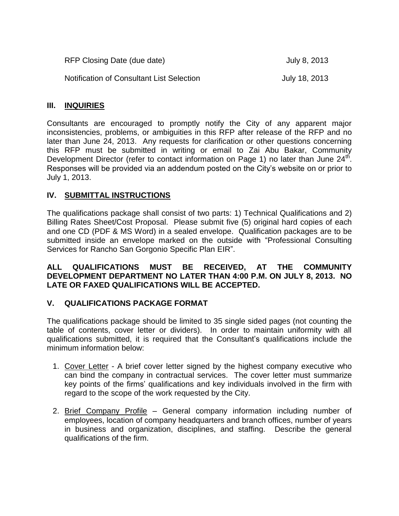| RFP Closing Date (due date)                      | July 8, 2013  |
|--------------------------------------------------|---------------|
| <b>Notification of Consultant List Selection</b> | July 18, 2013 |

## **III. INQUIRIES**

Consultants are encouraged to promptly notify the City of any apparent major inconsistencies, problems, or ambiguities in this RFP after release of the RFP and no later than June 24, 2013. Any requests for clarification or other questions concerning this RFP must be submitted in writing or email to Zai Abu Bakar, Community Development Director (refer to contact information on Page 1) no later than June  $24<sup>th</sup>$ . Responses will be provided via an addendum posted on the City's website on or prior to July 1, 2013.

## **IV. SUBMITTAL INSTRUCTIONS**

The qualifications package shall consist of two parts: 1) Technical Qualifications and 2) Billing Rates Sheet/Cost Proposal. Please submit five (5) original hard copies of each and one CD (PDF & MS Word) in a sealed envelope. Qualification packages are to be submitted inside an envelope marked on the outside with "Professional Consulting Services for Rancho San Gorgonio Specific Plan EIR".

## **ALL QUALIFICATIONS MUST BE RECEIVED, AT THE COMMUNITY DEVELOPMENT DEPARTMENT NO LATER THAN 4:00 P.M. ON JULY 8, 2013. NO LATE OR FAXED QUALIFICATIONS WILL BE ACCEPTED.**

## **V. QUALIFICATIONS PACKAGE FORMAT**

The qualifications package should be limited to 35 single sided pages (not counting the table of contents, cover letter or dividers). In order to maintain uniformity with all qualifications submitted, it is required that the Consultant's qualifications include the minimum information below:

- 1. Cover Letter A brief cover letter signed by the highest company executive who can bind the company in contractual services. The cover letter must summarize key points of the firms' qualifications and key individuals involved in the firm with regard to the scope of the work requested by the City.
- 2. Brief Company Profile General company information including number of employees, location of company headquarters and branch offices, number of years in business and organization, disciplines, and staffing. Describe the general qualifications of the firm.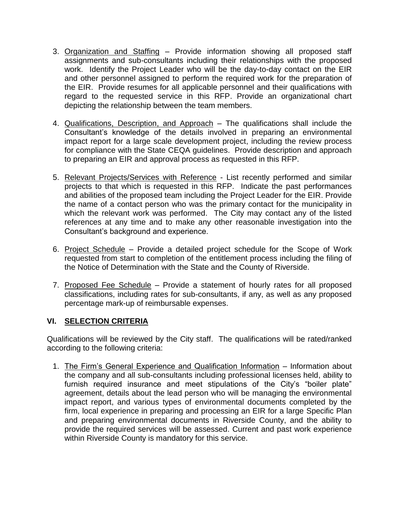- 3. Organization and Staffing Provide information showing all proposed staff assignments and sub-consultants including their relationships with the proposed work. Identify the Project Leader who will be the day-to-day contact on the EIR and other personnel assigned to perform the required work for the preparation of the EIR. Provide resumes for all applicable personnel and their qualifications with regard to the requested service in this RFP. Provide an organizational chart depicting the relationship between the team members.
- 4. Qualifications, Description, and Approach The qualifications shall include the Consultant's knowledge of the details involved in preparing an environmental impact report for a large scale development project, including the review process for compliance with the State CEQA guidelines. Provide description and approach to preparing an EIR and approval process as requested in this RFP.
- 5. Relevant Projects/Services with Reference List recently performed and similar projects to that which is requested in this RFP. Indicate the past performances and abilities of the proposed team including the Project Leader for the EIR. Provide the name of a contact person who was the primary contact for the municipality in which the relevant work was performed. The City may contact any of the listed references at any time and to make any other reasonable investigation into the Consultant's background and experience.
- 6. Project Schedule Provide a detailed project schedule for the Scope of Work requested from start to completion of the entitlement process including the filing of the Notice of Determination with the State and the County of Riverside.
- 7. Proposed Fee Schedule Provide a statement of hourly rates for all proposed classifications, including rates for sub-consultants, if any, as well as any proposed percentage mark-up of reimbursable expenses.

## **VI. SELECTION CRITERIA**

Qualifications will be reviewed by the City staff. The qualifications will be rated/ranked according to the following criteria:

1. The Firm's General Experience and Qualification Information – Information about the company and all sub-consultants including professional licenses held, ability to furnish required insurance and meet stipulations of the City's "boiler plate" agreement, details about the lead person who will be managing the environmental impact report, and various types of environmental documents completed by the firm, local experience in preparing and processing an EIR for a large Specific Plan and preparing environmental documents in Riverside County, and the ability to provide the required services will be assessed. Current and past work experience within Riverside County is mandatory for this service.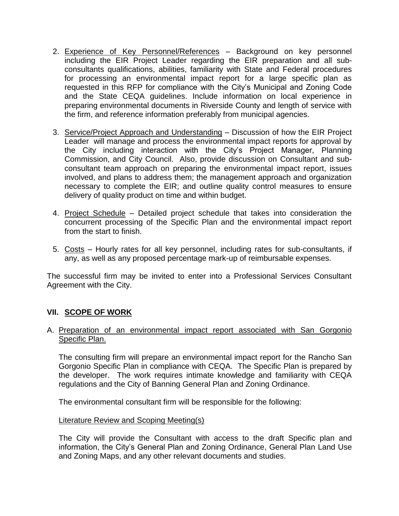- 2. Experience of Key Personnel/References Background on key personnel including the EIR Project Leader regarding the EIR preparation and all subconsultants qualifications, abilities, familiarity with State and Federal procedures for processing an environmental impact report for a large specific plan as requested in this RFP for compliance with the City's Municipal and Zoning Code and the State CEQA guidelines. Include information on local experience in preparing environmental documents in Riverside County and length of service with the firm, and reference information preferably from municipal agencies.
- 3. Service/Project Approach and Understanding Discussion of how the EIR Project Leader will manage and process the environmental impact reports for approval by the City including interaction with the City's Project Manager, Planning Commission, and City Council. Also, provide discussion on Consultant and subconsultant team approach on preparing the environmental impact report, issues involved, and plans to address them; the management approach and organization necessary to complete the EIR; and outline quality control measures to ensure delivery of quality product on time and within budget.
- 4. Project Schedule Detailed project schedule that takes into consideration the concurrent processing of the Specific Plan and the environmental impact report from the start to finish.
- 5. Costs Hourly rates for all key personnel, including rates for sub-consultants, if any, as well as any proposed percentage mark-up of reimbursable expenses.

The successful firm may be invited to enter into a Professional Services Consultant Agreement with the City.

## **VII. SCOPE OF WORK**

## A. Preparation of an environmental impact report associated with San Gorgonio Specific Plan.

The consulting firm will prepare an environmental impact report for the Rancho San Gorgonio Specific Plan in compliance with CEQA. The Specific Plan is prepared by the developer. The work requires intimate knowledge and familiarity with CEQA regulations and the City of Banning General Plan and Zoning Ordinance.

The environmental consultant firm will be responsible for the following:

#### Literature Review and Scoping Meeting(s)

The City will provide the Consultant with access to the draft Specific plan and information, the City's General Plan and Zoning Ordinance, General Plan Land Use and Zoning Maps, and any other relevant documents and studies.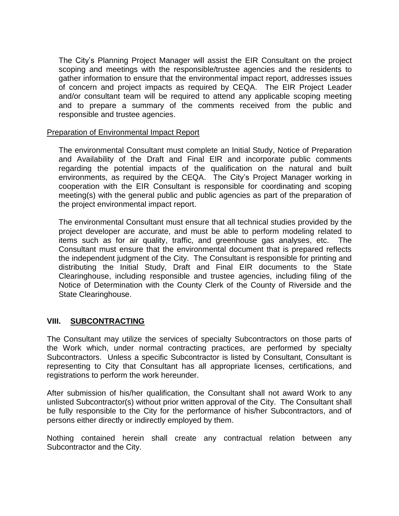The City's Planning Project Manager will assist the EIR Consultant on the project scoping and meetings with the responsible/trustee agencies and the residents to gather information to ensure that the environmental impact report, addresses issues of concern and project impacts as required by CEQA. The EIR Project Leader and/or consultant team will be required to attend any applicable scoping meeting and to prepare a summary of the comments received from the public and responsible and trustee agencies.

## Preparation of Environmental Impact Report

The environmental Consultant must complete an Initial Study, Notice of Preparation and Availability of the Draft and Final EIR and incorporate public comments regarding the potential impacts of the qualification on the natural and built environments, as required by the CEQA. The City's Project Manager working in cooperation with the EIR Consultant is responsible for coordinating and scoping meeting(s) with the general public and public agencies as part of the preparation of the project environmental impact report.

The environmental Consultant must ensure that all technical studies provided by the project developer are accurate, and must be able to perform modeling related to items such as for air quality, traffic, and greenhouse gas analyses, etc. The Consultant must ensure that the environmental document that is prepared reflects the independent judgment of the City. The Consultant is responsible for printing and distributing the Initial Study, Draft and Final EIR documents to the State Clearinghouse, including responsible and trustee agencies, including filing of the Notice of Determination with the County Clerk of the County of Riverside and the State Clearinghouse.

## **VIII. SUBCONTRACTING**

The Consultant may utilize the services of specialty Subcontractors on those parts of the Work which, under normal contracting practices, are performed by specialty Subcontractors. Unless a specific Subcontractor is listed by Consultant, Consultant is representing to City that Consultant has all appropriate licenses, certifications, and registrations to perform the work hereunder.

After submission of his/her qualification, the Consultant shall not award Work to any unlisted Subcontractor(s) without prior written approval of the City. The Consultant shall be fully responsible to the City for the performance of his/her Subcontractors, and of persons either directly or indirectly employed by them.

Nothing contained herein shall create any contractual relation between any Subcontractor and the City.